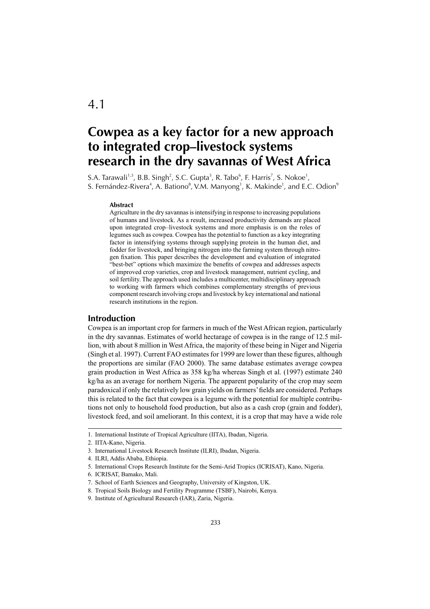# **Cowpea as a key factor for a new approach to integrated crop–livestock systems research in the dry savannas of West Africa**

S.A. Tarawali $^{1,3}$ , B.B. Singh $^2$ , S.C. Gupta $^5$ , R. Tabo $^6$ , F. Harris $^7$ , S. Nokoe $^1$ , S. Fernández-Rivera $^4$ , A. Bationo $^8$ , V.M. Manyong $^1$ , K. Makinde $^1$ , and E.C. Odion $^9$ 

#### **Abstract**

Agriculture in the dry savannas is intensifying in response to increasing populations of humans and livestock. As a result, increased productivity demands are placed upon integrated crop–livestock systems and more emphasis is on the roles of legumes such as cowpea. Cowpea has the potential to function as a key integrating factor in intensifying systems through supplying protein in the human diet, and fodder for livestock, and bringing nitrogen into the farming system through nitrogen fixation. This paper describes the development and evaluation of integrated "best-bet" options which maximize the benefits of cowpea and addresses aspects of improved crop varieties, crop and livestock management, nutrient cycling, and soil fertility. The approach used includes a multicenter, multidisciplinary approach to working with farmers which combines complementary strengths of previous component research involving crops and livestock by key international and national research institutions in the region.

## **Introduction**

Cowpea is an important crop for farmers in much of the West African region, particularly in the dry savannas. Estimates of world hectarage of cowpea is in the range of 12.5 million, with about 8 million in West Africa, the majority of these being in Niger and Nigeria (Singh et al. 1997). Current FAO estimates for 1999 are lower than these figures, although the proportions are similar (FAO 2000). The same database estimates average cowpea grain production in West Africa as 358 kg/ha whereas Singh et al. (1997) estimate 240 kg/ha as an average for northern Nigeria. The apparent popularity of the crop may seem paradoxical if only the relatively low grain yields on farmers' fields are considered. Perhaps this is related to the fact that cowpea is a legume with the potential for multiple contributions not only to household food production, but also as a cash crop (grain and fodder), livestock feed, and soil ameliorant. In this context, it is a crop that may have a wide role

<sup>1.</sup> International Institute of Tropical Agriculture (IITA), Ibadan, Nigeria.

<sup>2.</sup> IITA-Kano, Nigeria.

<sup>3.</sup> International Livestock Research Institute (ILRI), Ibadan, Nigeria.

<sup>4.</sup> ILRI, Addis Ababa, Ethiopia.

<sup>5.</sup> International Crops Research Institute for the Semi-Arid Tropics (ICRISAT), Kano, Nigeria.

<sup>6.</sup> ICRISAT, Bamako, Mali.

<sup>7.</sup> School of Earth Sciences and Geography, University of Kingston, UK.

<sup>8.</sup> Tropical Soils Biology and Fertility Programme (TSBF), Nairobi, Kenya.

<sup>9.</sup> Institute of Agricultural Research (IAR), Zaria, Nigeria.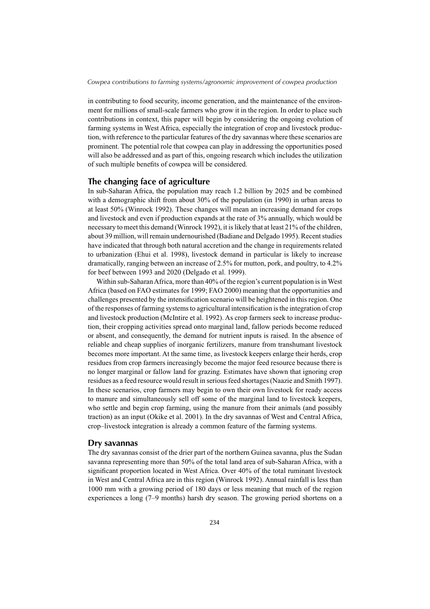in contributing to food security, income generation, and the maintenance of the environment for millions of small-scale farmers who grow it in the region. In order to place such contributions in context, this paper will begin by considering the ongoing evolution of farming systems in West Africa, especially the integration of crop and livestock production, with reference to the particular features of the dry savannas where these scenarios are prominent. The potential role that cowpea can play in addressing the opportunities posed will also be addressed and as part of this, ongoing research which includes the utilization of such multiple benefits of cowpea will be considered.

## **The changing face of agriculture**

In sub-Saharan Africa, the population may reach 1.2 billion by 2025 and be combined with a demographic shift from about 30% of the population (in 1990) in urban areas to at least 50% (Winrock 1992). These changes will mean an increasing demand for crops and livestock and even if production expands at the rate of 3% annually, which would be necessary to meet this demand (Winrock 1992), it is likely that at least 21% of the children, about 39 million, will remain undernourished (Badiane and Delgado 1995). Recent studies have indicated that through both natural accretion and the change in requirements related to urbanization (Ehui et al. 1998), livestock demand in particular is likely to increase dramatically, ranging between an increase of 2.5% for mutton, pork, and poultry, to 4.2% for beef between 1993 and 2020 (Delgado et al. 1999).

Within sub-Saharan Africa, more than 40% of the region's current population is in West Africa (based on FAO estimates for 1999; FAO 2000) meaning that the opportunities and challenges presented by the intensification scenario will be heightened in this region. One of the responses of farming systems to agricultural intensification is the integration of crop and livestock production (McIntire et al. 1992). As crop farmers seek to increase production, their cropping activities spread onto marginal land, fallow periods become reduced or absent, and consequently, the demand for nutrient inputs is raised. In the absence of reliable and cheap supplies of inorganic fertilizers, manure from transhumant livestock becomes more important. At the same time, as livestock keepers enlarge their herds, crop residues from crop farmers increasingly become the major feed resource because there is no longer marginal or fallow land for grazing. Estimates have shown that ignoring crop residues as a feed resource would result in serious feed shortages (Naazie and Smith 1997). In these scenarios, crop farmers may begin to own their own livestock for ready access to manure and simultaneously sell off some of the marginal land to livestock keepers, who settle and begin crop farming, using the manure from their animals (and possibly traction) as an input (Okike et al. 2001). In the dry savannas of West and Central Africa, crop–livestock integration is already a common feature of the farming systems.

## **Dry savannas**

The dry savannas consist of the drier part of the northern Guinea savanna, plus the Sudan savanna representing more than 50% of the total land area of sub-Saharan Africa, with a significant proportion located in West Africa. Over 40% of the total ruminant livestock in West and Central Africa are in this region (Winrock 1992). Annual rainfall is less than 1000 mm with a growing period of 180 days or less meaning that much of the region experiences a long (7–9 months) harsh dry season. The growing period shortens on a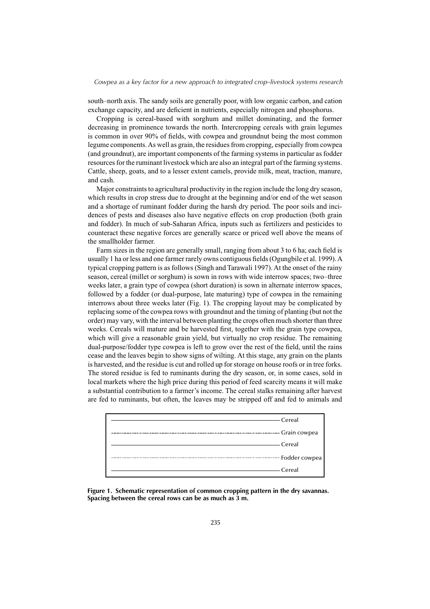south–north axis. The sandy soils are generally poor, with low organic carbon, and cation exchange capacity, and are deficient in nutrients, especially nitrogen and phosphorus.

Cropping is cereal-based with sorghum and millet dominating, and the former decreasing in prominence towards the north. Intercropping cereals with grain legumes is common in over 90% of fields, with cowpea and groundnut being the most common legume components. As well as grain, the residues from cropping, especially from cowpea (and groundnut), are important components of the farming systems in particular as fodder resources for the ruminant livestock which are also an integral part of the farming systems. Cattle, sheep, goats, and to a lesser extent camels, provide milk, meat, traction, manure, and cash.

Major constraints to agricultural productivity in the region include the long dry season, which results in crop stress due to drought at the beginning and/or end of the wet season and a shortage of ruminant fodder during the harsh dry period. The poor soils and incidences of pests and diseases also have negative effects on crop production (both grain and fodder). In much of sub-Saharan Africa, inputs such as fertilizers and pesticides to counteract these negative forces are generally scarce or priced well above the means of the smallholder farmer.

Farm sizes in the region are generally small, ranging from about 3 to 6 ha; each field is usually 1 ha or less and one farmer rarely owns contiguous fields (Ogungbile et al. 1999). A typical cropping pattern is as follows (Singh and Tarawali 1997). At the onset of the rainy season, cereal (millet or sorghum) is sown in rows with wide interrow spaces; two–three weeks later, a grain type of cowpea (short duration) is sown in alternate interrow spaces, followed by a fodder (or dual-purpose, late maturing) type of cowpea in the remaining interrows about three weeks later (Fig. 1). The cropping layout may be complicated by replacing some of the cowpea rows with groundnut and the timing of planting (but not the order) may vary, with the interval between planting the crops often much shorter than three weeks. Cereals will mature and be harvested first, together with the grain type cowpea, which will give a reasonable grain yield, but virtually no crop residue. The remaining dual-purpose/fodder type cowpea is left to grow over the rest of the field, until the rains cease and the leaves begin to show signs of wilting. At this stage, any grain on the plants is harvested, and the residue is cut and rolled up for storage on house roofs or in tree forks. The stored residue is fed to ruminants during the dry season, or, in some cases, sold in local markets where the high price during this period of feed scarcity means it will make a substantial contribution to a farmer's income. The cereal stalks remaining after harvest are fed to ruminants, but often, the leaves may be stripped off and fed to animals and



**Figure 1. Schematic representation of common cropping pattern in the dry savannas. Spacing between the cereal rows can be as much as 3 m.**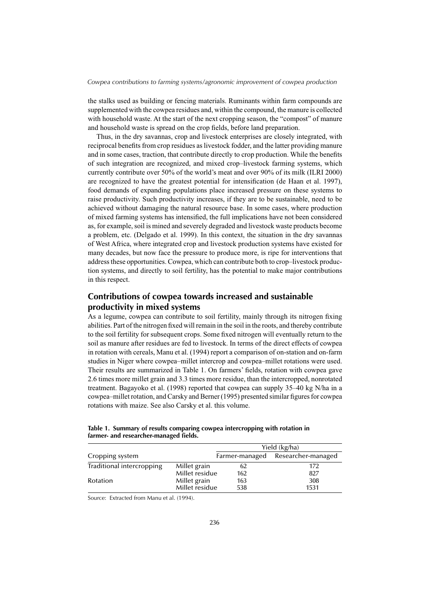the stalks used as building or fencing materials. Ruminants within farm compounds are supplemented with the cowpea residues and, within the compound, the manure is collected with household waste. At the start of the next cropping season, the "compost" of manure and household waste is spread on the crop fields, before land preparation.

Thus, in the dry savannas, crop and livestock enterprises are closely integrated, with reciprocal benefits from crop residues as livestock fodder, and the latter providing manure and in some cases, traction, that contribute directly to crop production. While the benefits of such integration are recognized, and mixed crop–livestock farming systems, which currently contribute over 50% of the world's meat and over 90% of its milk (ILRI 2000) are recognized to have the greatest potential for intensification (de Haan et al. 1997), food demands of expanding populations place increased pressure on these systems to raise productivity. Such productivity increases, if they are to be sustainable, need to be achieved without damaging the natural resource base. In some cases, where production of mixed farming systems has intensified, the full implications have not been considered as, for example, soil is mined and severely degraded and livestock waste products become a problem, etc. (Delgado et al. 1999). In this context, the situation in the dry savannas of West Africa, where integrated crop and livestock production systems have existed for many decades, but now face the pressure to produce more, is ripe for interventions that address these opportunities. Cowpea, which can contribute both to crop–livestock production systems, and directly to soil fertility, has the potential to make major contributions in this respect.

# **Contributions of cowpea towards increased and sustainable productivity in mixed systems**

As a legume, cowpea can contribute to soil fertility, mainly through its nitrogen fixing abilities. Part of the nitrogen fixed will remain in the soil in the roots, and thereby contribute to the soil fertility for subsequent crops. Some fixed nitrogen will eventually return to the soil as manure after residues are fed to livestock. In terms of the direct effects of cowpea in rotation with cereals, Manu et al. (1994) report a comparison of on-station and on-farm studies in Niger where cowpea–millet intercrop and cowpea–millet rotations were used. Their results are summarized in Table 1. On farmers' fields, rotation with cowpea gave 2.6 times more millet grain and 3.3 times more residue, than the intercropped, nonrotated treatment. Bagayoko et al. (1998) reported that cowpea can supply 35–40 kg N/ha in a cowpea–millet rotation, and Carsky and Berner (1995) presented similar figures for cowpea rotations with maize. See also Carsky et al. this volume.

|                           |                | Yield (kg/ha)  |                    |  |
|---------------------------|----------------|----------------|--------------------|--|
| Cropping system           |                | Farmer-managed | Researcher-managed |  |
| Traditional intercropping | Millet grain   | 62             | 172                |  |
|                           | Millet residue | 162            | 827                |  |
| Rotation                  | Millet grain   | 163            | 308                |  |
|                           | Millet residue | 538            | 1531               |  |

**Table 1. Summary of results comparing cowpea intercropping with rotation in** farmer- and researcher-managed fields.

Source: Extracted from Manu et al. (1994).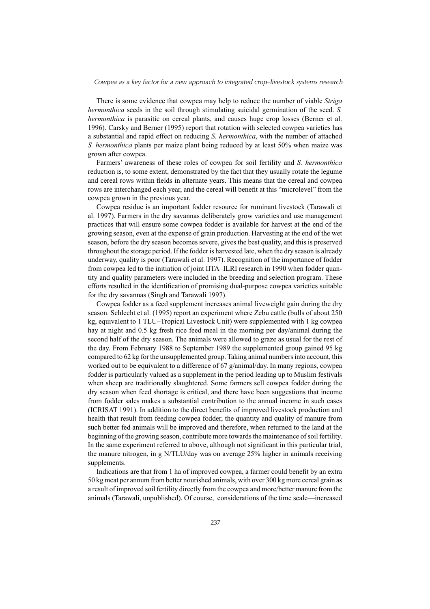There is some evidence that cowpea may help to reduce the number of viable *Striga hermonthica* seeds in the soil through stimulating suicidal germination of the seed. *S. hermonthica* is parasitic on cereal plants, and causes huge crop losses (Berner et al. 1996). Carsky and Berner (1995) report that rotation with selected cowpea varieties has a substantial and rapid effect on reducing *S. hermonthica*, with the number of attached *S. hermonthica* plants per maize plant being reduced by at least 50% when maize was grown after cowpea.

Farmers' awareness of these roles of cowpea for soil fertility and *S. hermonthica*  reduction is, to some extent, demonstrated by the fact that they usually rotate the legume and cereal rows within fields in alternate years. This means that the cereal and cowpea rows are interchanged each year, and the cereal will benefit at this "microlevel" from the cowpea grown in the previous year.

Cowpea residue is an important fodder resource for ruminant livestock (Tarawali et al. 1997). Farmers in the dry savannas deliberately grow varieties and use management practices that will ensure some cowpea fodder is available for harvest at the end of the growing season, even at the expense of grain production. Harvesting at the end of the wet season, before the dry season becomes severe, gives the best quality, and this is preserved throughout the storage period. If the fodder is harvested late, when the dry season is already underway, quality is poor (Tarawali et al. 1997). Recognition of the importance of fodder from cowpea led to the initiation of joint IITA–ILRI research in 1990 when fodder quantity and quality parameters were included in the breeding and selection program. These efforts resulted in the identification of promising dual-purpose cowpea varieties suitable for the dry savannas (Singh and Tarawali 1997).

Cowpea fodder as a feed supplement increases animal liveweight gain during the dry season. Schlecht et al. (1995) report an experiment where Zebu cattle (bulls of about 250 kg, equivalent to 1 TLU–Tropical Livestock Unit) were supplemented with 1 kg cowpea hay at night and 0.5 kg fresh rice feed meal in the morning per day/animal during the second half of the dry season. The animals were allowed to graze as usual for the rest of the day. From February 1988 to September 1989 the supplemented group gained 95 kg compared to 62 kg for the unsupplemented group. Taking animal numbers into account, this worked out to be equivalent to a difference of 67 g/animal/day. In many regions, cowpea fodder is particularly valued as a supplement in the period leading up to Muslim festivals when sheep are traditionally slaughtered. Some farmers sell cowpea fodder during the dry season when feed shortage is critical, and there have been suggestions that income from fodder sales makes a substantial contribution to the annual income in such cases (ICRISAT 1991). In addition to the direct benefits of improved livestock production and health that result from feeding cowpea fodder, the quantity and quality of manure from such better fed animals will be improved and therefore, when returned to the land at the beginning of the growing season, contribute more towards the maintenance of soil fertility. In the same experiment referred to above, although not significant in this particular trial, the manure nitrogen, in g N/TLU/day was on average 25% higher in animals receiving supplements.

Indications are that from 1 ha of improved cowpea, a farmer could benefit by an extra 50 kg meat per annum from better nourished animals, with over 300 kg more cereal grain as a result of improved soil fertility directly from the cowpea and more/better manure from the animals (Tarawali, unpublished). Of course, considerations of the time scale—increased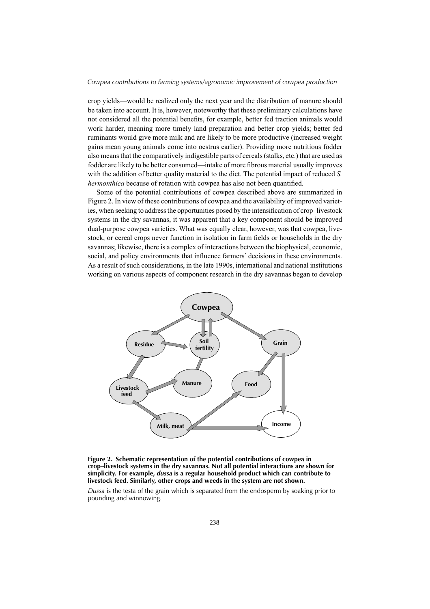crop yields—would be realized only the next year and the distribution of manure should be taken into account. It is, however, noteworthy that these preliminary calculations have not considered all the potential benefits, for example, better fed traction animals would work harder, meaning more timely land preparation and better crop yields; better fed ruminants would give more milk and are likely to be more productive (increased weight gains mean young animals come into oestrus earlier). Providing more nutritious fodder also means that the comparatively indigestible parts of cereals (stalks, etc.) that are used as fodder are likely to be better consumed—intake of more fibrous material usually improves with the addition of better quality material to the diet. The potential impact of reduced *S. hermonthica* because of rotation with cowpea has also not been quantified.

Some of the potential contributions of cowpea described above are summarized in Figure 2. In view of these contributions of cowpea and the availability of improved varieties, when seeking to address the opportunities posed by the intensification of crop–livestock systems in the dry savannas, it was apparent that a key component should be improved dual-purpose cowpea varieties. What was equally clear, however, was that cowpea, livestock, or cereal crops never function in isolation in farm fields or households in the dry savannas; likewise, there is a complex of interactions between the biophysical, economic, social, and policy environments that influence farmers' decisions in these environments. As a result of such considerations, in the late 1990s, international and national institutions working on various aspects of component research in the dry savannas began to develop



**Figure 2. Schematic representation of the potential contributions of cowpea in crop–livestock systems in the dry savannas. Not all potential interactions are shown for simplicity. For example,** *dussa* **is a regular household product which can contribute to livestock feed. Similarly, other crops and weeds in the system are not shown.**

*Dussa* is the testa of the grain which is separated from the endosperm by soaking prior to pounding and winnowing.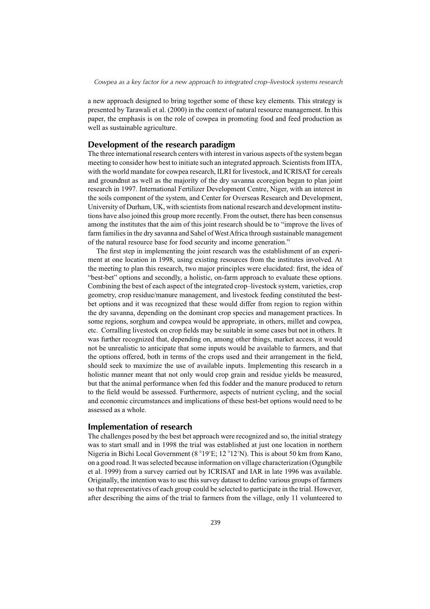a new approach designed to bring together some of these key elements. This strategy is presented by Tarawali et al. (2000) in the context of natural resource management. In this paper, the emphasis is on the role of cowpea in promoting food and feed production as well as sustainable agriculture.

## **Development of the research paradigm**

The three international research centers with interest in various aspects of the system began meeting to consider how best to initiate such an integrated approach. Scientists from IITA, with the world mandate for cowpea research, ILRI for livestock, and ICRISAT for cereals and groundnut as well as the majority of the dry savanna ecoregion began to plan joint research in 1997. International Fertilizer Development Centre, Niger, with an interest in the soils component of the system, and Center for Overseas Research and Development, University of Durham, UK, with scientists from national research and development institutions have also joined this group more recently. From the outset, there has been consensus among the institutes that the aim of this joint research should be to "improve the lives of farm families in the dry savanna and Sahel of West Africa through sustainable management of the natural resource base for food security and income generation."

The first step in implementing the joint research was the establishment of an experiment at one location in 1998, using existing resources from the institutes involved. At the meeting to plan this research, two major principles were elucidated: first, the idea of "best-bet" options and secondly, a holistic, on-farm approach to evaluate these options. Combining the best of each aspect of the integrated crop–livestock system, varieties, crop geometry, crop residue/manure management, and livestock feeding constituted the bestbet options and it was recognized that these would differ from region to region within the dry savanna, depending on the dominant crop species and management practices. In some regions, sorghum and cowpea would be appropriate, in others, millet and cowpea, etc. Corralling livestock on crop fields may be suitable in some cases but not in others. It was further recognized that, depending on, among other things, market access, it would not be unrealistic to anticipate that some inputs would be available to farmers, and that the options offered, both in terms of the crops used and their arrangement in the field, should seek to maximize the use of available inputs. Implementing this research in a holistic manner meant that not only would crop grain and residue yields be measured, but that the animal performance when fed this fodder and the manure produced to return to the field would be assessed. Furthermore, aspects of nutrient cycling, and the social and economic circumstances and implications of these best-bet options would need to be assessed as a whole.

## **Implementation of research**

The challenges posed by the best bet approach were recognized and so, the initial strategy was to start small and in 1998 the trial was established at just one location in northern Nigeria in Bichi Local Government (8 ° 19'E; 12 ° 12'N). This is about 50 km from Kano, on a good road. It was selected because information on village characterization (Ogungbile et al. 1999) from a survey carried out by ICRISAT and IAR in late 1996 was available. Originally, the intention was to use this survey dataset to define various groups of farmers so that representatives of each group could be selected to participate in the trial. However, after describing the aims of the trial to farmers from the village, only 11 volunteered to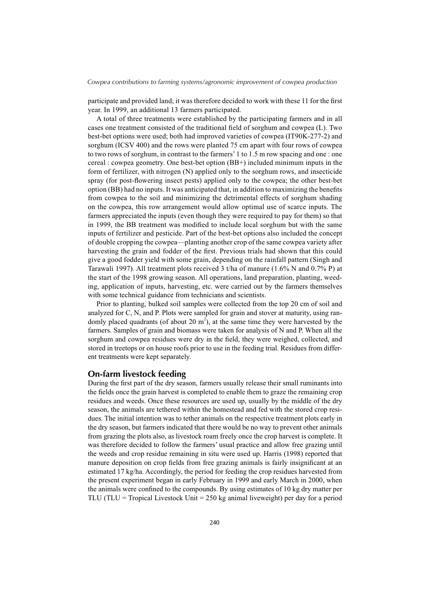participate and provided land; it was therefore decided to work with these 11 for the first year. In 1999, an additional 13 farmers participated.

A total of three treatments were established by the participating farmers and in all cases one treatment consisted of the traditional field of sorghum and cowpea (L). Two best-bet options were used; both had improved varieties of cowpea (IT90K-277-2) and sorghum (ICSV 400) and the rows were planted 75 cm apart with four rows of cowpea to two rows of sorghum, in contrast to the farmers' 1 to 1.5 m row spacing and one : one cereal : cowpea geometry. One best-bet option (BB+) included minimum inputs in the form of fertilizer, with nitrogen (N) applied only to the sorghum rows, and insecticide spray (for post-flowering insect pests) applied only to the cowpea; the other best-bet option (BB) had no inputs. It was anticipated that, in addition to maximizing the benefits from cowpea to the soil and minimizing the detrimental effects of sorghum shading on the cowpea, this row arrangement would allow optimal use of scarce inputs. The farmers appreciated the inputs (even though they were required to pay for them) so that in 1999, the BB treatment was modified to include local sorghum but with the same inputs of fertilizer and pesticide. Part of the best-bet options also included the concept of double cropping the cowpea—planting another crop of the same cowpea variety after harvesting the grain and fodder of the first. Previous trials had shown that this could give a good fodder yield with some grain, depending on the rainfall pattern (Singh and Tarawali 1997). All treatment plots received 3 t/ha of manure (1.6% N and 0.7% P) at the start of the 1998 growing season. All operations, land preparation, planting, weeding, application of inputs, harvesting, etc. were carried out by the farmers themselves with some technical guidance from technicians and scientists.

Prior to planting, bulked soil samples were collected from the top 20 cm of soil and analyzed for C, N, and P. Plots were sampled for grain and stover at maturity, using randomly placed quadrants (of about 20  $m<sup>2</sup>$ ), at the same time they were harvested by the farmers. Samples of grain and biomass were taken for analysis of N and P. When all the sorghum and cowpea residues were dry in the field, they were weighed, collected, and stored in treetops or on house roofs prior to use in the feeding trial. Residues from different treatments were kept separately.

## **On-farm livestock feeding**

During the first part of the dry season, farmers usually release their small ruminants into the fields once the grain harvest is completed to enable them to graze the remaining crop residues and weeds. Once these resources are used up, usually by the middle of the dry season, the animals are tethered within the homestead and fed with the stored crop residues. The initial intention was to tether animals on the respective treatment plots early in the dry season, but farmers indicated that there would be no way to prevent other animals from grazing the plots also, as livestock roam freely once the crop harvest is complete. It was therefore decided to follow the farmers' usual practice and allow free grazing until the weeds and crop residue remaining in situ were used up. Harris (1998) reported that manure deposition on crop fields from free grazing animals is fairly insignificant at an estimated 17 kg/ha. Accordingly, the period for feeding the crop residues harvested from the present experiment began in early February in 1999 and early March in 2000, when the animals were confined to the compounds. By using estimates of 10 kg dry matter per TLU (TLU = Tropical Livestock Unit = 250 kg animal liveweight) per day for a period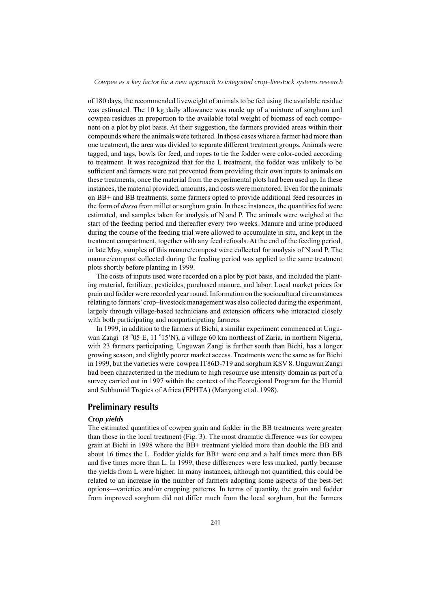of 180 days, the recommended liveweight of animals to be fed using the available residue was estimated. The 10 kg daily allowance was made up of a mixture of sorghum and cowpea residues in proportion to the available total weight of biomass of each component on a plot by plot basis. At their suggestion, the farmers provided areas within their compounds where the animals were tethered. In those cases where a farmer had more than one treatment, the area was divided to separate different treatment groups. Animals were tagged; and tags, bowls for feed, and ropes to tie the fodder were color-coded according to treatment. It was recognized that for the L treatment, the fodder was unlikely to be sufficient and farmers were not prevented from providing their own inputs to animals on these treatments, once the material from the experimental plots had been used up. In these instances, the material provided, amounts, and costs were monitored. Even for the animals on BB+ and BB treatments, some farmers opted to provide additional feed resources in the form of *dussa* from millet or sorghum grain. In these instances, the quantities fed were estimated, and samples taken for analysis of N and P. The animals were weighed at the start of the feeding period and thereafter every two weeks. Manure and urine produced during the course of the feeding trial were allowed to accumulate in situ, and kept in the treatment compartment, together with any feed refusals. At the end of the feeding period, in late May, samples of this manure/compost were collected for analysis of N and P. The manure/compost collected during the feeding period was applied to the same treatment plots shortly before planting in 1999.

The costs of inputs used were recorded on a plot by plot basis, and included the planting material, fertilizer, pesticides, purchased manure, and labor. Local market prices for grain and fodder were recorded year round. Information on the sociocultural circumstances relating to farmers' crop–livestock management was also collected during the experiment, largely through village-based technicians and extension officers who interacted closely with both participating and nonparticipating farmers.

In 1999, in addition to the farmers at Bichi, a similar experiment commenced at Unguwan Zangi (8 °05'E, 11 °15'N), a village 60 km northeast of Zaria, in northern Nigeria, with 23 farmers participating. Unguwan Zangi is further south than Bichi, has a longer growing season, and slightly poorer market access. Treatments were the same as for Bichi in 1999, but the varieties were cowpea IT86D-719 and sorghum KSV 8. Unguwan Zangi had been characterized in the medium to high resource use intensity domain as part of a survey carried out in 1997 within the context of the Ecoregional Program for the Humid and Subhumid Tropics of Africa (EPHTA) (Manyong et al. 1998).

## **Preliminary results**

#### *Crop yields*

The estimated quantities of cowpea grain and fodder in the BB treatments were greater than those in the local treatment (Fig. 3). The most dramatic difference was for cowpea grain at Bichi in 1998 where the BB+ treatment yielded more than double the BB and about 16 times the L. Fodder yields for BB+ were one and a half times more than BB and five times more than L. In 1999, these differences were less marked, partly because the yields from L were higher. In many instances, although not quantified, this could be related to an increase in the number of farmers adopting some aspects of the best-bet options—varieties and/or cropping patterns. In terms of quantity, the grain and fodder from improved sorghum did not differ much from the local sorghum, but the farmers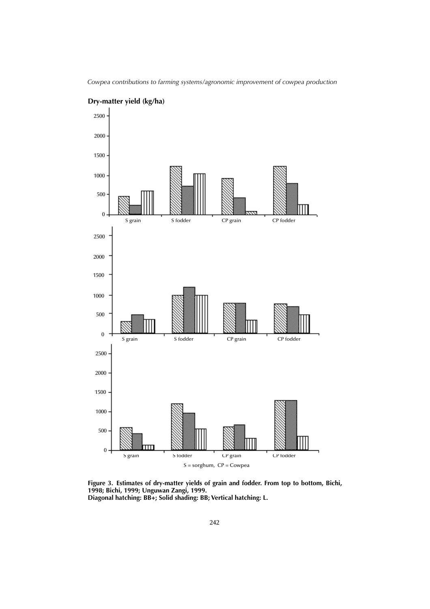

**Dry-matter yield (kg/ha)**

**Figure 3. Estimates of dry-matter yields of grain and fodder. From top to bottom, Bichi, 1998; Bichi, 1999; Unguwan Zangi, 1999. Diagonal hatching: BB+; Solid shading: BB; Vertical hatching: L.**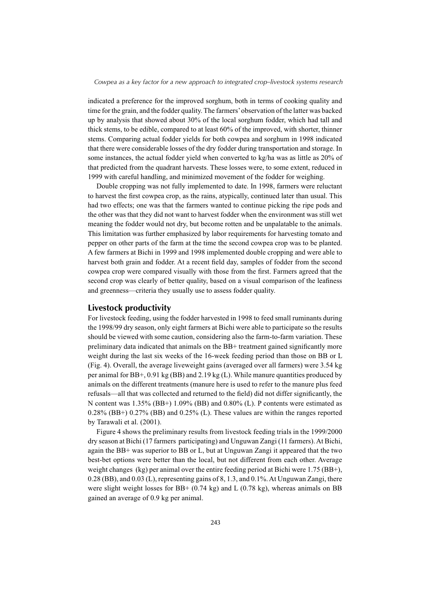indicated a preference for the improved sorghum, both in terms of cooking quality and time for the grain, and the fodder quality. The farmers' observation of the latter was backed up by analysis that showed about 30% of the local sorghum fodder, which had tall and thick stems, to be edible, compared to at least 60% of the improved, with shorter, thinner stems. Comparing actual fodder yields for both cowpea and sorghum in 1998 indicated that there were considerable losses of the dry fodder during transportation and storage. In some instances, the actual fodder yield when converted to kg/ha was as little as 20% of that predicted from the quadrant harvests. These losses were, to some extent, reduced in 1999 with careful handling, and minimized movement of the fodder for weighing.

Double cropping was not fully implemented to date. In 1998, farmers were reluctant to harvest the first cowpea crop, as the rains, atypically, continued later than usual. This had two effects; one was that the farmers wanted to continue picking the ripe pods and the other was that they did not want to harvest fodder when the environment was still wet meaning the fodder would not dry, but become rotten and be unpalatable to the animals. This limitation was further emphasized by labor requirements for harvesting tomato and pepper on other parts of the farm at the time the second cowpea crop was to be planted. A few farmers at Bichi in 1999 and 1998 implemented double cropping and were able to harvest both grain and fodder. At a recent field day, samples of fodder from the second cowpea crop were compared visually with those from the first. Farmers agreed that the second crop was clearly of better quality, based on a visual comparison of the leafiness and greenness—criteria they usually use to assess fodder quality.

## **Livestock productivity**

For livestock feeding, using the fodder harvested in 1998 to feed small ruminants during the 1998/99 dry season, only eight farmers at Bichi were able to participate so the results should be viewed with some caution, considering also the farm-to-farm variation. These preliminary data indicated that animals on the BB+ treatment gained significantly more weight during the last six weeks of the 16-week feeding period than those on BB or L (Fig. 4). Overall, the average liveweight gains (averaged over all farmers) were 3.54 kg per animal for BB+, 0.91 kg (BB) and 2.19 kg (L). While manure quantities produced by animals on the different treatments (manure here is used to refer to the manure plus feed refusals—all that was collected and returned to the field) did not differ significantly, the N content was  $1.35\%$  (BB+)  $1.09\%$  (BB) and  $0.80\%$  (L). P contents were estimated as 0.28% (BB+) 0.27% (BB) and 0.25% (L). These values are within the ranges reported by Tarawali et al. (2001).

Figure 4 shows the preliminary results from livestock feeding trials in the 1999/2000 dry season at Bichi (17 farmers participating) and Unguwan Zangi (11 farmers). At Bichi, again the BB+ was superior to BB or L, but at Unguwan Zangi it appeared that the two best-bet options were better than the local, but not different from each other. Average weight changes (kg) per animal over the entire feeding period at Bichi were 1.75 (BB+), 0.28 (BB), and 0.03 (L), representing gains of 8, 1.3, and 0.1%. At Unguwan Zangi, there were slight weight losses for  $BB+ (0.74 \text{ kg})$  and L  $(0.78 \text{ kg})$ , whereas animals on BB gained an average of 0.9 kg per animal.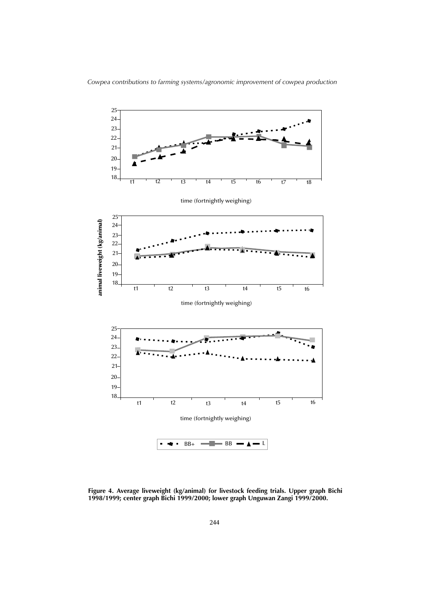

**Figure 4. Average liveweight (kg/animal) for livestock feeding trials. Upper graph Bichi 1998/1999; center graph Bichi 1999/2000; lower graph Unguwan Zangi 1999/2000.**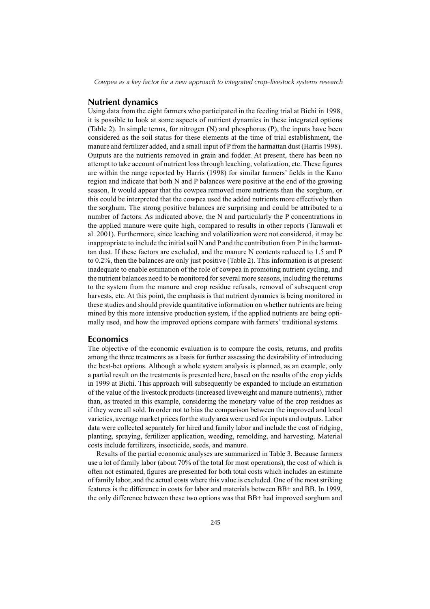### **Nutrient dynamics**

Using data from the eight farmers who participated in the feeding trial at Bichi in 1998, it is possible to look at some aspects of nutrient dynamics in these integrated options (Table 2). In simple terms, for nitrogen (N) and phosphorus (P), the inputs have been considered as the soil status for these elements at the time of trial establishment, the manure and fertilizer added, and a small input of P from the harmattan dust (Harris 1998). Outputs are the nutrients removed in grain and fodder. At present, there has been no attempt to take account of nutrient loss through leaching, volatization, etc. These figures are within the range reported by Harris (1998) for similar farmers' fields in the Kano region and indicate that both N and P balances were positive at the end of the growing season. It would appear that the cowpea removed more nutrients than the sorghum, or this could be interpreted that the cowpea used the added nutrients more effectively than the sorghum. The strong positive balances are surprising and could be attributed to a number of factors. As indicated above, the N and particularly the P concentrations in the applied manure were quite high, compared to results in other reports (Tarawali et al. 2001). Furthermore, since leaching and volatilization were not considered, it may be inappropriate to include the initial soil N and P and the contribution from P in the harmattan dust. If these factors are excluded, and the manure N contents reduced to 1.5 and P to 0.2%, then the balances are only just positive (Table 2). This information is at present inadequate to enable estimation of the role of cowpea in promoting nutrient cycling, and the nutrient balances need to be monitored for several more seasons, including the returns to the system from the manure and crop residue refusals, removal of subsequent crop harvests, etc. At this point, the emphasis is that nutrient dynamics is being monitored in these studies and should provide quantitative information on whether nutrients are being mined by this more intensive production system, if the applied nutrients are being optimally used, and how the improved options compare with farmers' traditional systems.

## **Economics**

The objective of the economic evaluation is to compare the costs, returns, and profits among the three treatments as a basis for further assessing the desirability of introducing the best-bet options. Although a whole system analysis is planned, as an example, only a partial result on the treatments is presented here, based on the results of the crop yields in 1999 at Bichi. This approach will subsequently be expanded to include an estimation of the value of the livestock products (increased liveweight and manure nutrients), rather than, as treated in this example, considering the monetary value of the crop residues as if they were all sold. In order not to bias the comparison between the improved and local varieties, average market prices for the study area were used for inputs and outputs. Labor data were collected separately for hired and family labor and include the cost of ridging, planting, spraying, fertilizer application, weeding, remolding, and harvesting. Material costs include fertilizers, insecticide, seeds, and manure.

Results of the partial economic analyses are summarized in Table 3. Because farmers use a lot of family labor (about 70% of the total for most operations), the cost of which is often not estimated, figures are presented for both total costs which includes an estimate of family labor, and the actual costs where this value is excluded. One of the most striking features is the difference in costs for labor and materials between BB+ and BB. In 1999, the only difference between these two options was that BB+ had improved sorghum and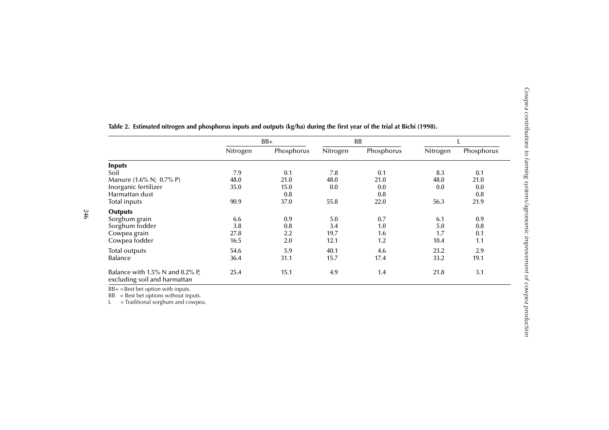|                                                                 | $BB+$    |            | <b>BB</b> |            | L        |            |
|-----------------------------------------------------------------|----------|------------|-----------|------------|----------|------------|
|                                                                 | Nitrogen | Phosphorus | Nitrogen  | Phosphorus | Nitrogen | Phosphorus |
| <b>Inputs</b>                                                   |          |            |           |            |          |            |
| Soil                                                            | 7.9      | 0.1        | 7.8       | 0.1        | 8.3      | 0.1        |
| Manure (1.6% N; 0.7% P)                                         | 48.0     | 21.0       | 48.0      | 21.0       | 48.0     | 21.0       |
| Inorganic fertilizer                                            | 35.0     | 15.0       | 0.0       | 0.0        | 0.0      | 0.0        |
| Harmattan dust                                                  |          | 0.8        |           | 0.8        |          | 0.8        |
| Total inputs                                                    | 90.9     | 37.0       | 55.8      | 22.0       | 56.3     | 21.9       |
| <b>Outputs</b>                                                  |          |            |           |            |          |            |
| Sorghum grain                                                   | 6.6      | 0.9        | 5.0       | 0.7        | 6.1      | 0.9        |
| Sorghum fodder                                                  | 3.8      | 0.8        | 3.4       | 1.0        | 5.0      | 0.8        |
| Cowpea grain                                                    | 27.8     | 2.2        | 19.7      | 1.6        | 1.7      | 0.1        |
| Cowpea fodder                                                   | 16.5     | 2.0        | 12.1      | 1.2        | 10.4     | 1.1        |
| <b>Total outputs</b>                                            | 54.6     | 5.9        | 40.1      | 4.6        | 23.2     | 2.9        |
| Balance                                                         | 36.4     | 31.1       | 15.7      | 17.4       | 33.2     | 19.1       |
| Balance with 1.5% N and 0.2% P,<br>excluding soil and harmattan | 25.4     | 15.1       | 4.9       | 1.4        | 21.8     | 3.1        |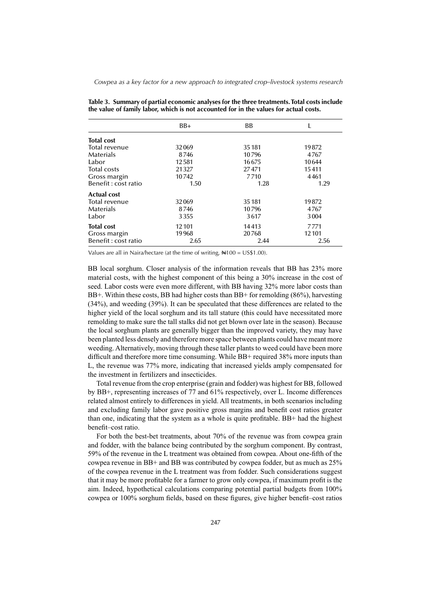| Table 3. Summary of partial economic analyses for the three treatments. Total costs include |
|---------------------------------------------------------------------------------------------|
| the value of family labor, which is not accounted for in the values for actual costs.       |

|                     | $BB+$   | <b>BB</b> |         |
|---------------------|---------|-----------|---------|
| <b>Total cost</b>   |         |           |         |
| Total revenue       | 32069   | 35 1 81   | 19872   |
| <b>Materials</b>    | 8746    | 10796     | 4767    |
| Labor               | 12581   | 16675     | 10644   |
| <b>Total costs</b>  | 21327   | 27471     | 15411   |
| Gross margin        | 10742   | 7710      | 4461    |
| Benefit: cost ratio | 1.50    | 1.28      | 1.29    |
| <b>Actual cost</b>  |         |           |         |
| Total revenue       | 32069   | 35 1 81   | 19872   |
| <b>Materials</b>    | 8746    | 10796     | 4767    |
| Labor               | 3355    | 3617      | 3004    |
| <b>Total cost</b>   | 12 10 1 | 14413     | 7771    |
| Gross margin        | 19968   | 20768     | 12 10 1 |
| Benefit: cost ratio | 2.65    | 2.44      | 2.56    |

Values are all in Naira/hectare (at the time of writing,  $\text{N100} = \text{US$1.00}$ ).

BB local sorghum. Closer analysis of the information reveals that BB has 23% more material costs, with the highest component of this being a 30% increase in the cost of seed. Labor costs were even more different, with BB having 32% more labor costs than BB+. Within these costs, BB had higher costs than BB+ for remolding (86%), harvesting (34%), and weeding (39%). It can be speculated that these differences are related to the higher yield of the local sorghum and its tall stature (this could have necessitated more remolding to make sure the tall stalks did not get blown over late in the season). Because the local sorghum plants are generally bigger than the improved variety, they may have been planted less densely and therefore more space between plants could have meant more weeding. Alternatively, moving through these taller plants to weed could have been more difficult and therefore more time consuming. While BB+ required 38% more inputs than L, the revenue was 77% more, indicating that increased yields amply compensated for the investment in fertilizers and insecticides.

Total revenue from the crop enterprise (grain and fodder) was highest for BB, followed by BB+, representing increases of 77 and 61% respectively, over L. Income differences related almost entirely to differences in yield. All treatments, in both scenarios including and excluding family labor gave positive gross margins and benefi t cost ratios greater than one, indicating that the system as a whole is quite profitable. BB+ had the highest benefit–cost ratio.

For both the best-bet treatments, about 70% of the revenue was from cowpea grain and fodder, with the balance being contributed by the sorghum component. By contrast, 59% of the revenue in the L treatment was obtained from cowpea. About one-fifth of the cowpea revenue in BB+ and BB was contributed by cowpea fodder, but as much as 25% of the cowpea revenue in the L treatment was from fodder. Such considerations suggest that it may be more profitable for a farmer to grow only cowpea, if maximum profit is the aim. Indeed, hypothetical calculations comparing potential partial budgets from 100% cowpea or 100% sorghum fields, based on these figures, give higher benefit–cost ratios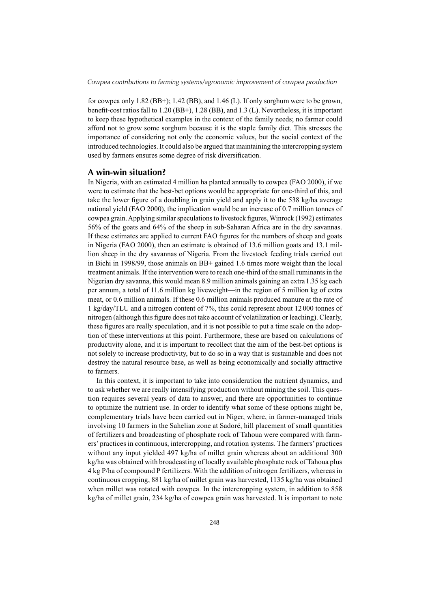for cowpea only 1.82 (BB+); 1.42 (BB), and 1.46 (L). If only sorghum were to be grown, benefit-cost ratios fall to  $1.20$  (BB+),  $1.28$  (BB), and  $1.3$  (L). Nevertheless, it is important to keep these hypothetical examples in the context of the family needs; no farmer could afford not to grow some sorghum because it is the staple family diet. This stresses the importance of considering not only the economic values, but the social context of the introduced technologies. It could also be argued that maintaining the intercropping system used by farmers ensures some degree of risk diversification.

## **A win-win situation?**

In Nigeria, with an estimated 4 million ha planted annually to cowpea (FAO 2000), if we were to estimate that the best-bet options would be appropriate for one-third of this, and take the lower figure of a doubling in grain yield and apply it to the 538 kg/ha average national yield (FAO 2000), the implication would be an increase of 0.7 million tonnes of cowpea grain. Applying similar speculations to livestock figures, Winrock (1992) estimates 56% of the goats and 64% of the sheep in sub-Saharan Africa are in the dry savannas. If these estimates are applied to current FAO figures for the numbers of sheep and goats in Nigeria (FAO 2000), then an estimate is obtained of 13.6 million goats and 13.1 million sheep in the dry savannas of Nigeria. From the livestock feeding trials carried out in Bichi in 1998/99, those animals on BB+ gained 1.6 times more weight than the local treatment animals. If the intervention were to reach one-third of the small ruminants in the Nigerian dry savanna, this would mean 8.9 million animals gaining an extra 1.35 kg each per annum, a total of 11.6 million kg liveweight—in the region of 5 million kg of extra meat, or 0.6 million animals. If these 0.6 million animals produced manure at the rate of 1 kg/day/TLU and a nitrogen content of 7%, this could represent about 12000 tonnes of nitrogen (although this figure does not take account of volatilization or leaching). Clearly, these figures are really speculation, and it is not possible to put a time scale on the adoption of these interventions at this point. Furthermore, these are based on calculations of productivity alone, and it is important to recollect that the aim of the best-bet options is not solely to increase productivity, but to do so in a way that is sustainable and does not destroy the natural resource base, as well as being economically and socially attractive to farmers.

In this context, it is important to take into consideration the nutrient dynamics, and to ask whether we are really intensifying production without mining the soil. This question requires several years of data to answer, and there are opportunities to continue to optimize the nutrient use. In order to identify what some of these options might be, complementary trials have been carried out in Niger, where, in farmer-managed trials involving 10 farmers in the Sahelian zone at Sadoré, hill placement of small quantities of fertilizers and broadcasting of phosphate rock of Tahoua were compared with farmers' practices in continuous, intercropping, and rotation systems. The farmers' practices without any input yielded 497 kg/ha of millet grain whereas about an additional 300 kg/ha was obtained with broadcasting of locally available phosphate rock of Tahoua plus 4 kg P/ha of compound P fertilizers. With the addition of nitrogen fertilizers, whereas in continuous cropping, 881 kg/ha of millet grain was harvested, 1135 kg/ha was obtained when millet was rotated with cowpea. In the intercropping system, in addition to 858 kg/ha of millet grain, 234 kg/ha of cowpea grain was harvested. It is important to note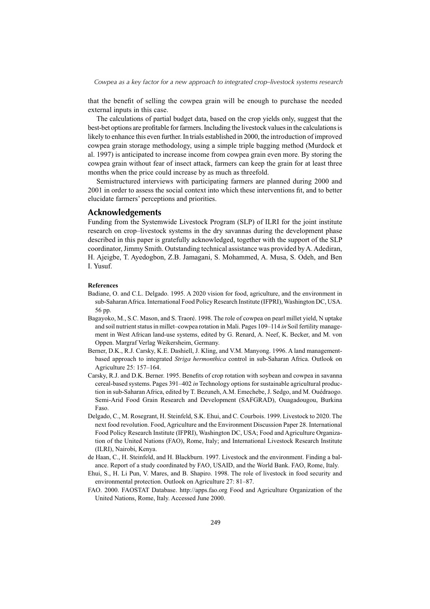that the benefit of selling the cowpea grain will be enough to purchase the needed external inputs in this case.

The calculations of partial budget data, based on the crop yields only, suggest that the best-bet options are profitable for farmers. Including the livestock values in the calculations is likely to enhance this even further. In trials established in 2000, the introduction of improved cowpea grain storage methodology, using a simple triple bagging method (Murdock et al. 1997) is anticipated to increase income from cowpea grain even more. By storing the cowpea grain without fear of insect attack, farmers can keep the grain for at least three months when the price could increase by as much as threefold.

Semistructured interviews with participating farmers are planned during 2000 and 2001 in order to assess the social context into which these interventions fit, and to better elucidate farmers' perceptions and priorities.

## **Acknowledgements**

Funding from the Systemwide Livestock Program (SLP) of ILRI for the joint institute research on crop–livestock systems in the dry savannas during the development phase described in this paper is gratefully acknowledged, together with the support of the SLP coordinator, Jimmy Smith. Outstanding technical assistance was provided by A. Adediran, H. Ajeigbe, T. Ayedogbon, Z.B. Jamagani, S. Mohammed, A. Musa, S. Odeh, and Ben I. Yusuf.

#### **References**

- Badiane, O. and C.L. Delgado. 1995. A 2020 vision for food, agriculture, and the environment in sub-Saharan Africa. International Food Policy Research Institute (IFPRI), Washington DC, USA. 56 pp.
- Bagayoko, M., S.C. Mason, and S. Traoré. 1998. The role of cowpea on pearl millet yield, N uptake and soil nutrient status in millet–cowpea rotation in Mali. Pages 109–114 *in* Soil fertility management in West African land-use systems, edited by G. Renard, A. Neef, K. Becker, and M. von Oppen. Margraf Verlag Weikersheim, Germany.
- Berner, D.K., R.J. Carsky, K.E. Dashiell, J. Kling, and V.M. Manyong. 1996. A land managementbased approach to integrated *Striga hermonthica* control in sub-Saharan Africa. Outlook on Agriculture 25: 157–164.
- Carsky, R.J. and D.K. Berner. 1995. Benefits of crop rotation with soybean and cowpea in savanna cereal-based systems. Pages 391–402 *in* Technology options for sustainable agricultural production in sub-Saharan Africa, edited by T. Bezuneh, A.M. Emechebe, J. Sedgo, and M. Ouédraogo. Semi-Arid Food Grain Research and Development (SAFGRAD), Ouagadougou, Burkina Faso.
- Delgado, C., M. Rosegrant, H. Steinfeld, S.K. Ehui, and C. Courbois. 1999. Livestock to 2020. The next food revolution. Food, Agriculture and the Environment Discussion Paper 28. International Food Policy Research Institute (IFPRI), Washington DC, USA; Food and Agriculture Organization of the United Nations (FAO), Rome, Italy; and International Livestock Research Institute (ILRI), Nairobi, Kenya.
- de Haan, C., H. Steinfeld, and H. Blackburn. 1997. Livestock and the environment. Finding a balance. Report of a study coordinated by FAO, USAID, and the World Bank. FAO, Rome, Italy.
- Ehui, S., H. Li Pun, V. Mares, and B. Shapiro. 1998. The role of livestock in food security and environmental protection. Outlook on Agriculture 27: 81–87.
- FAO. 2000. FAOSTAT Database. http://apps.fao.org Food and Agriculture Organization of the United Nations, Rome, Italy. Accessed June 2000.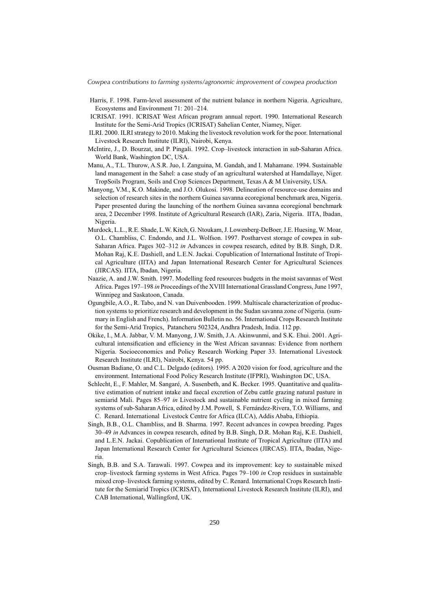- Harris, F. 1998. Farm-level assessment of the nutrient balance in northern Nigeria. Agriculture, Ecosystems and Environment 71: 201–214.
- ICRISAT. 1991. ICRISAT West African program annual report. 1990. International Research Institute for the Semi-Arid Tropics (ICRISAT) Sahelian Center, Niamey, Niger.
- ILRI. 2000. ILRI strategy to 2010. Making the livestock revolution work for the poor. International Livestock Research Institute (ILRI), Nairobi, Kenya.
- McIntire, J., D. Bourzat, and P. Pingali. 1992. Crop–livestock interaction in sub-Saharan Africa. World Bank, Washington DC, USA.
- Manu, A., T.L. Thurow, A.S.R. Juo, I. Zanguina, M. Gandah, and I. Mahamane. 1994. Sustainable land management in the Sahel: a case study of an agricultural watershed at Hamdallaye, Niger. TropSoils Program, Soils and Crop Sciences Department, Texas A & M University, USA.
- Manyong, V.M., K.O. Makinde, and J.O. Olukosi. 1998. Delineation of resource-use domains and selection of research sites in the northern Guinea savanna ecoregional benchmark area, Nigeria. Paper presented during the launching of the northern Guinea savanna ecoregional benchmark area, 2 December 1998. Institute of Agricultural Research (IAR), Zaria, Nigeria. IITA, Ibadan, Nigeria.
- Murdock, L.L., R.E. Shade, L.W. Kitch, G. Ntoukam, J. Lowenberg-DeBoer, J.E. Huesing, W. Moar, O.L. Chambliss, C. Endondo, and J.L. Wolfson. 1997. Postharvest storage of cowpea in sub-Saharan Africa. Pages 302–312 *in* Advances in cowpea research, edited by B.B. Singh, D.R. Mohan Raj, K.E. Dashiell, and L.E.N. Jackai. Copublication of International Institute of Tropical Agriculture (IITA) and Japan International Research Center for Agricultural Sciences (JIRCAS). IITA, Ibadan, Nigeria.
- Naazie, A. and J.W. Smith. 1997. Modelling feed resources budgets in the moist savannas of West Africa. Pages 197–198 *in* Proceedings of the XVIII International Grassland Congress, June 1997, Winnipeg and Saskatoon, Canada.
- Ogungbile, A.O., R. Tabo, and N. van Duivenbooden. 1999. Multiscale characterization of production systems to prioritize research and development in the Sudan savanna zone of Nigeria. (summary in English and French). Information Bulletin no. 56. International Crops Research Institute for the Semi-Arid Tropics, Patancheru 502324, Andhra Pradesh, India. 112 pp.
- Okike, I., M.A. Jabbar, V. M. Manyong, J.W. Smith, J.A. Akinwunmi, and S.K. Ehui. 2001. Agricultural intensification and efficiency in the West African savannas: Evidence from northern Nigeria. Socioeconomics and Policy Research Working Paper 33. International Livestock Research Institute (ILRI), Nairobi, Kenya. 54 pp.
- Ousman Badiane, O. and C.L. Delgado (editors). 1995. A 2020 vision for food, agriculture and the environment. International Food Policy Research Institute (IFPRI), Washington DC, USA.
- Schlecht, E., F. Mahler, M. Sangaré, A. Susenbeth, and K. Becker. 1995. Quantitative and qualitative estimation of nutrient intake and faecal excretion of Zebu cattle grazing natural pasture in semiarid Mali. Pages 85–97 *in* Livestock and sustainable nutrient cycling in mixed farming systems of sub-Saharan Africa, edited by J.M. Powell, S. Fernández-Rivera, T.O. Williams, and C. Renard. International Livestock Centre for Africa (ILCA), Addis Ababa, Ethiopia.
- Singh, B.B., O.L. Chambliss, and B. Sharma. 1997. Recent advances in cowpea breeding. Pages 30–49 *in* Advances in cowpea research, edited by B.B. Singh, D.R. Mohan Raj, K.E. Dashiell, and L.E.N. Jackai. Copublication of International Institute of Tropical Agriculture (IITA) and Japan International Research Center for Agricultural Sciences (JIRCAS). IITA, Ibadan, Nigeria.
- Singh, B.B. and S.A. Tarawali. 1997. Cowpea and its improvement: key to sustainable mixed crop–livestock farming systems in West Africa. Pages 79–100 *in* Crop residues in sustainable mixed crop–livestock farming systems, edited by C. Renard. International Crops Research Institute for the Semiarid Tropics (ICRISAT), International Livestock Research Institute (ILRI), and CAB International, Wallingford, UK.